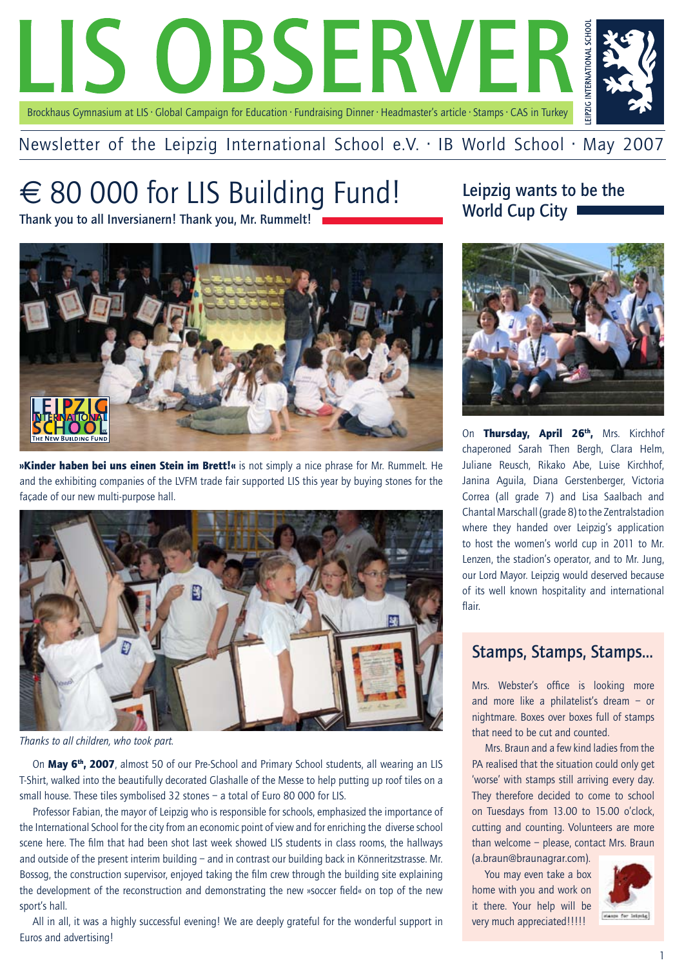

#### Newsletter of the Leipzig International School e.V. · IB World School · May 2007

# $\epsilon$  80 000 for LIS Building Fund!

Leipzig wants to be the World Cup City

Thank you to all Inversianern! Thank you, Mr. Rummelt!



»Kinder haben bei uns einen Stein im Brett!« is not simply a nice phrase for Mr. Rummelt. He and the exhibiting companies of the LVFM trade fair supported LIS this year by buying stones for the façade of our new multi-purpose hall.



*Thanks to all children, who took part.*

On May 6<sup>th</sup>, 2007, almost 50 of our Pre-School and Primary School students, all wearing an LIS T-Shirt, walked into the beautifully decorated Glashalle of the Messe to help putting up roof tiles on a small house. These tiles symbolised 32 stones – a total of Euro 80 000 for LIS.

Professor Fabian, the mayor of Leipzig who is responsible for schools, emphasized the importance of the International School for the city from an economic point of view and for enriching the diverse school scene here. The film that had been shot last week showed LIS students in class rooms, the hallways and outside of the present interim building – and in contrast our building back in Könneritzstrasse. Mr. Bossog, the construction supervisor, enjoyed taking the film crew through the building site explaining the development of the reconstruction and demonstrating the new »soccer field« on top of the new sport's hall.

All in all, it was a highly successful evening! We are deeply grateful for the wonderful support in Euros and advertising!



On Thursday, April 26<sup>th</sup>, Mrs. Kirchhof chaperoned Sarah Then Bergh, Clara Helm, Juliane Reusch, Rikako Abe, Luise Kirchhof, Janina Aguila, Diana Gerstenberger, Victoria Correa (all grade 7) and Lisa Saalbach and Chantal Marschall (grade 8) to the Zentralstadion where they handed over Leipzig's application to host the women's world cup in 2011 to Mr. Lenzen, the stadion's operator, and to Mr. Jung, our Lord Mayor. Leipzig would deserved because of its well known hospitality and international flair.

#### Stamps, Stamps, Stamps...

Mrs. Webster's office is looking more and more like a philatelist's dream – or nightmare. Boxes over boxes full of stamps that need to be cut and counted.

Mrs. Braun and a few kind ladies from the PA realised that the situation could only get 'worse' with stamps still arriving every day. They therefore decided to come to school on Tuesdays from 13.00 to 15.00 o'clock, cutting and counting. Volunteers are more than welcome – please, contact Mrs. Braun (a.braun@braunagrar.com).

You may even take a box home with you and work on it there. Your help will be very much appreciated!!!!!

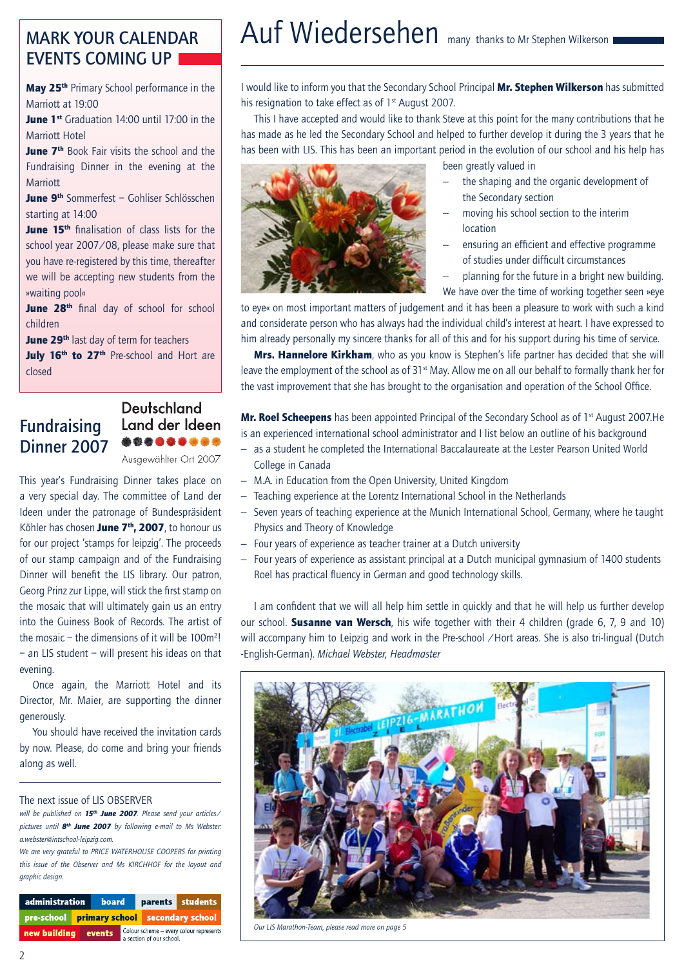# EVENTS COMING UP

May 25<sup>th</sup> Primary School performance in the Marriott at 19:00

June 1<sup>st</sup> Graduation 14:00 until 17:00 in the Marriott Hotel

June 7<sup>th</sup> Book Fair visits the school and the Fundraising Dinner in the evening at the Marriott

June 9<sup>th</sup> Sommerfest - Gohliser Schlösschen starting at 14:00

June 15<sup>th</sup> finalisation of class lists for the school year 2007/08, please make sure that you have re-registered by this time, thereafter we will be accepting new students from the »waiting pool«

June 28<sup>th</sup> final day of school for school children

June 29<sup>th</sup> last day of term for teachers

July 16<sup>th</sup> to 27<sup>th</sup> Pre-school and Hort are closed

### Fundraising Dinner 2007

#### **Deutschland** Land der Ideen Ausgewählter Ort 2007

This year's Fundraising Dinner takes place on a very special day. The committee of Land der Ideen under the patronage of Bundespräsident Köhler has chosen June 7<sup>th</sup>, 2007, to honour us for our project 'stamps for leipzig'. The proceeds of our stamp campaign and of the Fundraising Dinner will benefit the LIS library. Our patron, Georg Prinz zur Lippe, will stick the first stamp on the mosaic that will ultimately gain us an entry into the Guiness Book of Records. The artist of the mosaic  $-$  the dimensions of it will be 100 $m^2$ ! – an LIS student – will present his ideas on that evening.

Once again, the Marriott Hotel and its Director, Mr. Maier, are supporting the dinner generously.

You should have received the invitation cards by now. Please, do come and bring your friends along as well.

#### The next issue of LIS OBSERVER

*will be published on 15th June 2007. Please send your articles/ pictures until 8th June 2007 by following e-mail to Ms Webster: a.webster@intschool-leipzig.com.* 

*We are very grateful to PRICE WATERHOUSE COOPERS for printing this issue of the Observer and Ms KIRCHHOF for the layout and graphic design.*

| administration |  | board  |                                                                     |                                                   | parents students |
|----------------|--|--------|---------------------------------------------------------------------|---------------------------------------------------|------------------|
|                |  |        |                                                                     | <b>pre-school</b> primary school secondary school |                  |
| new buildina   |  | events | Colour scheme - every colour represents<br>a section of our school. |                                                   |                  |

# MARK YOUR CALENDAR Auf Wiedersehen many thanks to Mr Stephen Wilkerson

I would like to inform you that the Secondary School Principal Mr. Stephen Wilkerson has submitted his resignation to take effect as of 1<sup>st</sup> August 2007.

This I have accepted and would like to thank Steve at this point for the many contributions that he has made as he led the Secondary School and helped to further develop it during the 3 years that he has been with LIS. This has been an important period in the evolution of our school and his help has

been greatly valued in



- the shaping and the organic development of the Secondary section
- moving his school section to the interim location
- ensuring an efficient and effective programme of studies under difficult circumstances
- planning for the future in a bright new building.
- We have over the time of working together seen »eye

to eye« on most important matters of judgement and it has been a pleasure to work with such a kind and considerate person who has always had the individual child's interest at heart. I have expressed to him already personally my sincere thanks for all of this and for his support during his time of service.

Mrs. Hannelore Kirkham, who as you know is Stephen's life partner has decided that she will leave the employment of the school as of 31<sup>st</sup> May. Allow me on all our behalf to formally thank her for the vast improvement that she has brought to the organisation and operation of the School Office.

**Mr. Roel Scheepens** has been appointed Principal of the Secondary School as of  $1<sup>st</sup>$  August 2007.He is an experienced international school administrator and I list below an outline of his background

- $-$  as a student he completed the International Baccalaureate at the Lester Pearson United World College in Canada
- M.A. in Education from the Open University, United Kingdom
- Teaching experience at the Lorentz International School in the Netherlands
- Seven years of teaching experience at the Munich International School, Germany, where he taught Physics and Theory of Knowledge
- Four years of experience as teacher trainer at a Dutch university
- Four years of experience as assistant principal at a Dutch municipal gymnasium of 1400 students Roel has practical fluency in German and good technology skills.

I am confident that we will all help him settle in quickly and that he will help us further develop our school. **Susanne van Wersch**, his wife together with their 4 children (grade 6, 7, 9 and 10) will accompany him to Leipzig and work in the Pre-school /Hort areas. She is also tri-lingual (Dutch -English-German). *Michael Webster, Headmaster*



*Our LIS Marathon-Team, please read more on page 5*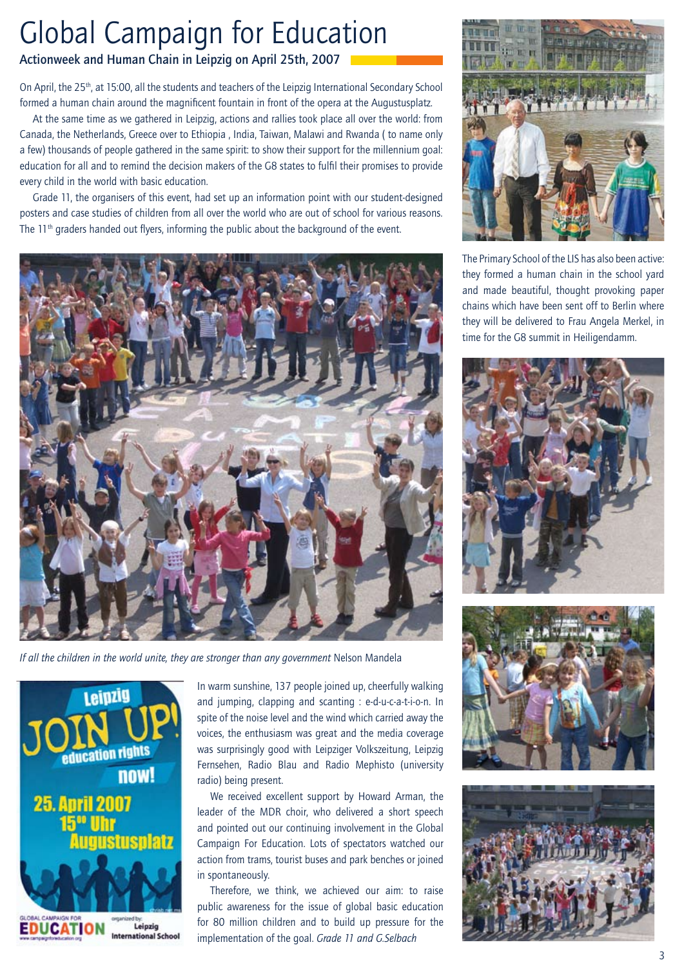# Global Campaign for Education

#### Actionweek and Human Chain in Leipzig on April 25th, 2007

On April, the 25th, at 15:00, all the students and teachers of the Leipzig International Secondary School formed a human chain around the magnificent fountain in front of the opera at the Augustusplatz.

At the same time as we gathered in Leipzig, actions and rallies took place all over the world: from Canada, the Netherlands, Greece over to Ethiopia , India, Taiwan, Malawi and Rwanda ( to name only a few) thousands of people gathered in the same spirit: to show their support for the millennium goal: education for all and to remind the decision makers of the G8 states to fulfil their promises to provide every child in the world with basic education.

Grade 11, the organisers of this event, had set up an information point with our student-designed posters and case studies of children from all over the world who are out of school for various reasons. The  $11<sup>th</sup>$  graders handed out flyers, informing the public about the background of the event.



*If all the children in the world unite, they are stronger than any government Nelson Mandela* 



In warm sunshine, 137 people joined up, cheerfully walking and jumping, clapping and scanting : e-d-u-c-a-t-i-o-n. In spite of the noise level and the wind which carried away the voices, the enthusiasm was great and the media coverage was surprisingly good with Leipziger Volkszeitung, Leipzig Fernsehen, Radio Blau and Radio Mephisto (university radio) being present.

We received excellent support by Howard Arman, the leader of the MDR choir, who delivered a short speech and pointed out our continuing involvement in the Global Campaign For Education. Lots of spectators watched our action from trams, tourist buses and park benches or joined in spontaneously.

Therefore, we think, we achieved our aim: to raise public awareness for the issue of global basic education for 80 million children and to build up pressure for the implementation of the goal. *Grade 11 and G.Selbach*



The Primary School of the LIS has also been active: they formed a human chain in the school yard and made beautiful, thought provoking paper chains which have been sent off to Berlin where they will be delivered to Frau Angela Merkel, in time for the G8 summit in Heiligendamm.





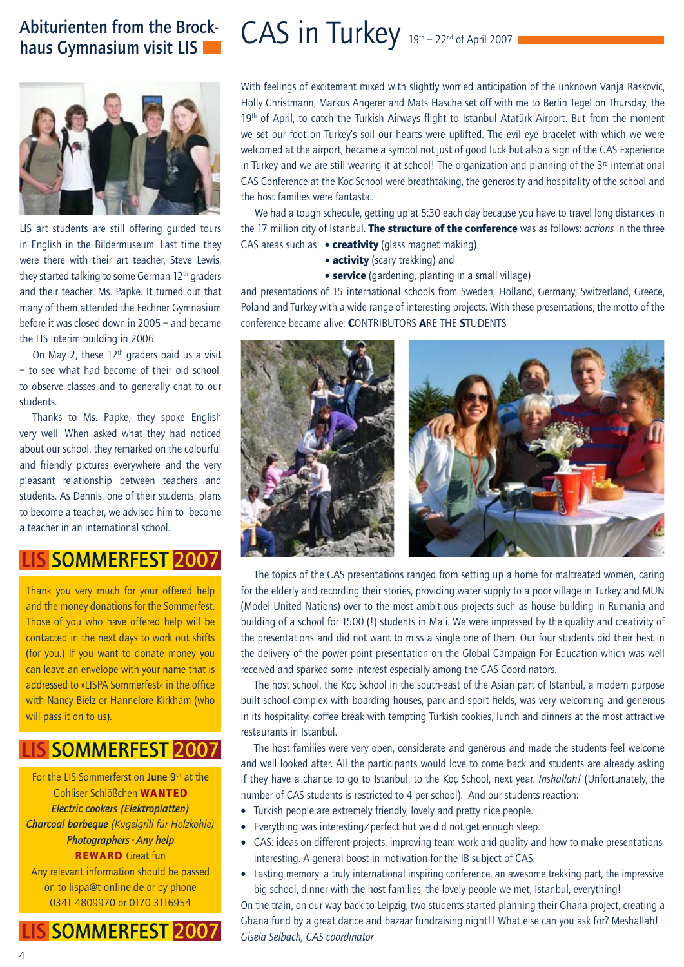#### Abiturienten from the Brockhaus Gymnasium visit LIS



LIS art students are still offering guided tours in English in the Bildermuseum. Last time they were there with their art teacher, Steve Lewis, they started talking to some German 12<sup>th</sup> graders and their teacher, Ms. Papke. It turned out that many of them attended the Fechner Gymnasium before it was closed down in 2005 – and became the LIS interim building in 2006.

On May 2, these  $12<sup>th</sup>$  graders paid us a visit – to see what had become of their old school, to observe classes and to generally chat to our students.

Thanks to Ms. Papke, they spoke English very well. When asked what they had noticed about our school, they remarked on the colourful and friendly pictures everywhere and the very pleasant relationship between teachers and students. As Dennis, one of their students, plans to become a teacher, we advised him to become a teacher in an international school.

#### **LIS SOMMERFEST 2007**

Thank you very much for your offered help and the money donations for the Sommerfest. Those of you who have offered help will be contacted in the next days to work out shifts (for you.) If you want to donate money you can leave an envelope with your name that is addressed to »LISPA Sommerfest« in the office with Nancy Bielz or Hannelore Kirkham (who will pass it on to us).

### **LIS SOMMERFEST 2007**

For the LIS Sommerferst on June 9th at the Gohliser Schlößchen WANTED *Electric cookers (Elektroplatten) Charcoal barbeque (Kugelgrill für Holzkohle) Photographers · Any help* **REWARD** Great fun Any relevant information should be passed

on to lispa@t-online.de or by phone 0341 4809970 or 0170 3116954

**LIS SOMMERFEST 2007** 

# CAS in Turkey 19th – 22nd of April 2007

With feelings of excitement mixed with slightly worried anticipation of the unknown Vanja Raskovic, Holly Christmann, Markus Angerer and Mats Hasche set off with me to Berlin Tegel on Thursday, the 19<sup>th</sup> of April, to catch the Turkish Airways flight to Istanbul Atatürk Airport. But from the moment we set our foot on Turkey's soil our hearts were uplifted. The evil eye bracelet with which we were welcomed at the airport, became a symbol not just of good luck but also a sign of the CAS Experience in Turkey and we are still wearing it at school! The organization and planning of the  $3<sup>rd</sup>$  international CAS Conference at the Koç School were breathtaking, the generosity and hospitality of the school and the host families were fantastic.

We had a tough schedule, getting up at 5:30 each day because you have to travel long distances in the 17 million city of Istanbul. The structure of the conference was as follows: *actions* in the three CAS areas such as  $\bullet$  creativity (glass magnet making)

- **activity** (scary trekking) and
- service (gardening, planting in a small village)

and presentations of 15 international schools from Sweden, Holland, Germany, Switzerland, Greece, Poland and Turkey with a wide range of interesting projects. With these presentations, the motto of the conference became alive: CONTRIBUTORS ARE THE STUDENTS



The topics of the CAS presentations ranged from setting up a home for maltreated women, caring for the elderly and recording their stories, providing water supply to a poor village in Turkey and MUN (Model United Nations) over to the most ambitious projects such as house building in Rumania and building of a school for 1500 (!) students in Mali. We were impressed by the quality and creativity of the presentations and did not want to miss a single one of them. Our four students did their best in the delivery of the power point presentation on the Global Campaign For Education which was well received and sparked some interest especially among the CAS Coordinators.

The host school, the Koç School in the south-east of the Asian part of Istanbul, a modern purpose built school complex with boarding houses, park and sport fields, was very welcoming and generous in its hospitality: coffee break with tempting Turkish cookies, lunch and dinners at the most attractive restaurants in Istanbul.

The host families were very open, considerate and generous and made the students feel welcome and well looked after. All the participants would love to come back and students are already asking if they have a chance to go to Istanbul, to the Koç School, next year. *Inshallah!* (Unfortunately, the number of CAS students is restricted to 4 per school). And our students reaction:

- Turkish people are extremely friendly, lovely and pretty nice people.
- Everything was interesting/perfect but we did not get enough sleep.
- CAS: ideas on different projects, improving team work and quality and how to make presentations interesting. A general boost in motivation for the IB subject of CAS.
- Lasting memory: a truly international inspiring conference, an awesome trekking part, the impressive big school, dinner with the host families, the lovely people we met, Istanbul, everything!

On the train, on our way back to Leipzig, two students started planning their Ghana project, creating a Ghana fund by a great dance and bazaar fundraising night!! What else can you ask for? Meshallah! *Gisela Selbach, CAS coordinator*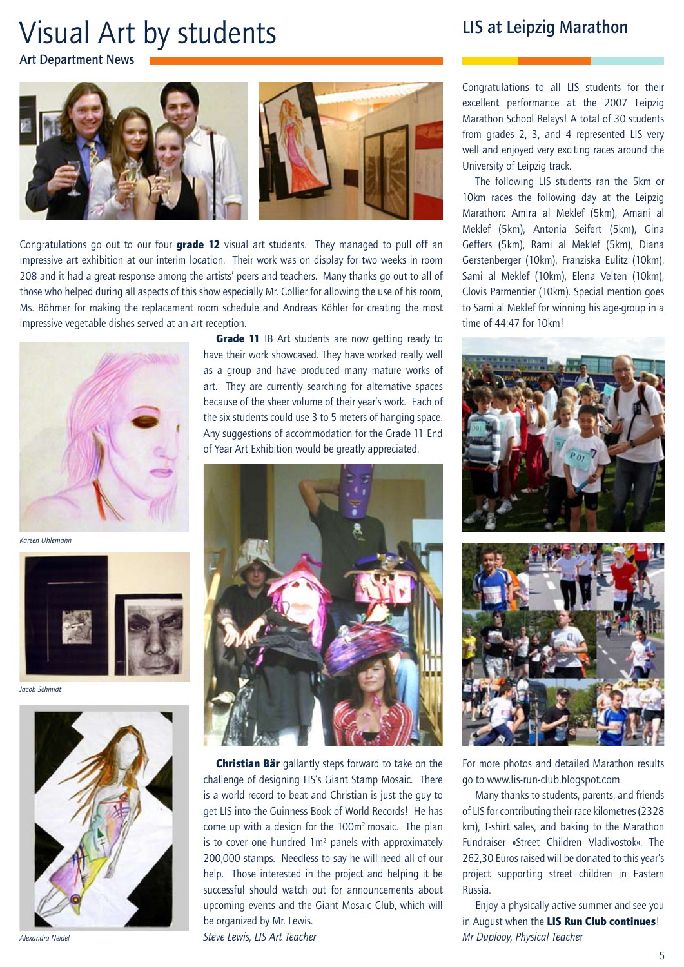## Visual Art by students

#### LIS at Leipzig Marathon

Art Department News



Congratulations go out to our four grade 12 visual art students. They managed to pull off an impressive art exhibition at our interim location. Their work was on display for two weeks in room 208 and it had a great response among the artists' peers and teachers. Many thanks go out to all of those who helped during all aspects of this show especially Mr. Collier for allowing the use of his room, Ms. Böhmer for making the replacement room schedule and Andreas Köhler for creating the most impressive vegetable dishes served at an art reception.



*Kareen Uhlemann*



*Jacob Schmidt*



*Alexandra Neidel* 

**Grade 11** IB Art students are now getting ready to have their work showcased. They have worked really well as a group and have produced many mature works of art. They are currently searching for alternative spaces because of the sheer volume of their year's work. Each of the six students could use 3 to 5 meters of hanging space. Any suggestions of accommodation for the Grade 11 End of Year Art Exhibition would be greatly appreciated.



**Christian Bär** gallantly steps forward to take on the challenge of designing LIS's Giant Stamp Mosaic. There is a world record to beat and Christian is just the guy to get LIS into the Guinness Book of World Records! He has come up with a design for the 100m2 mosaic. The plan is to cover one hundred  $1m^2$  panels with approximately 200,000 stamps. Needless to say he will need all of our help. Those interested in the project and helping it be successful should watch out for announcements about upcoming events and the Giant Mosaic Club, which will be organized by Mr. Lewis.

*Steve Lewis, LIS Art Teacher*

Congratulations to all LIS students for their excellent performance at the 2007 Leipzig Marathon School Relays! A total of 30 students from grades 2, 3, and 4 represented LIS very well and enjoyed very exciting races around the University of Leipzig track.

The following LIS students ran the 5km or 10km races the following day at the Leipzig Marathon: Amira al Meklef (5km), Amani al Meklef (5km), Antonia Seifert (5km), Gina Geffers (5km), Rami al Meklef (5km), Diana Gerstenberger (10km), Franziska Eulitz (10km), Sami al Meklef (10km), Elena Velten (10km), Clovis Parmentier (10km). Special mention goes to Sami al Meklef for winning his age-group in a time of 44:47 for 10km!



For more photos and detailed Marathon results go to www.lis-run-club.blogspot.com.

Many thanks to students, parents, and friends of LIS for contributing their race kilometres (2328 km), T-shirt sales, and baking to the Marathon Fundraiser »Street Children Vladivostok«. The 262,30 Euros raised will be donated to this year's project supporting street children in Eastern Russia.

Enjoy a physically active summer and see you in August when the LIS Run Club continues! *Mr Duplooy, Physical Teache*r